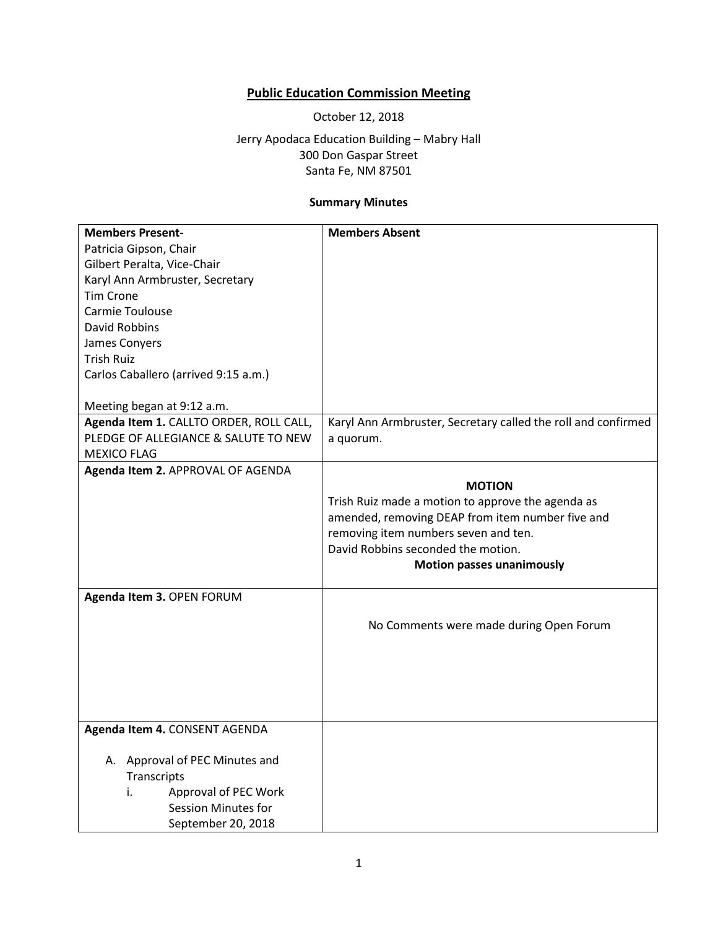## **Public Education Commission Meeting**

October 12, 2018

Jerry Apodaca Education Building – Mabry Hall 300 Don Gaspar Street Santa Fe, NM 87501

## **Summary Minutes**

| <b>Members Present-</b>                 | <b>Members Absent</b>                                         |
|-----------------------------------------|---------------------------------------------------------------|
| Patricia Gipson, Chair                  |                                                               |
| Gilbert Peralta, Vice-Chair             |                                                               |
| Karyl Ann Armbruster, Secretary         |                                                               |
| <b>Tim Crone</b>                        |                                                               |
| Carmie Toulouse                         |                                                               |
| <b>David Robbins</b>                    |                                                               |
| James Conyers                           |                                                               |
| <b>Trish Ruiz</b>                       |                                                               |
| Carlos Caballero (arrived 9:15 a.m.)    |                                                               |
|                                         |                                                               |
| Meeting began at 9:12 a.m.              |                                                               |
| Agenda Item 1. CALLTO ORDER, ROLL CALL, | Karyl Ann Armbruster, Secretary called the roll and confirmed |
| PLEDGE OF ALLEGIANCE & SALUTE TO NEW    | a quorum.                                                     |
| <b>MEXICO FLAG</b>                      |                                                               |
| Agenda Item 2. APPROVAL OF AGENDA       |                                                               |
|                                         | <b>MOTION</b>                                                 |
|                                         | Trish Ruiz made a motion to approve the agenda as             |
|                                         | amended, removing DEAP from item number five and              |
|                                         | removing item numbers seven and ten.                          |
|                                         | David Robbins seconded the motion.                            |
|                                         | <b>Motion passes unanimously</b>                              |
| Agenda Item 3. OPEN FORUM               |                                                               |
|                                         |                                                               |
|                                         | No Comments were made during Open Forum                       |
|                                         |                                                               |
|                                         |                                                               |
|                                         |                                                               |
|                                         |                                                               |
|                                         |                                                               |
| Agenda Item 4. CONSENT AGENDA           |                                                               |
|                                         |                                                               |
| A. Approval of PEC Minutes and          |                                                               |
| Transcripts                             |                                                               |
| Approval of PEC Work<br>i.              |                                                               |
| Session Minutes for                     |                                                               |
| September 20, 2018                      |                                                               |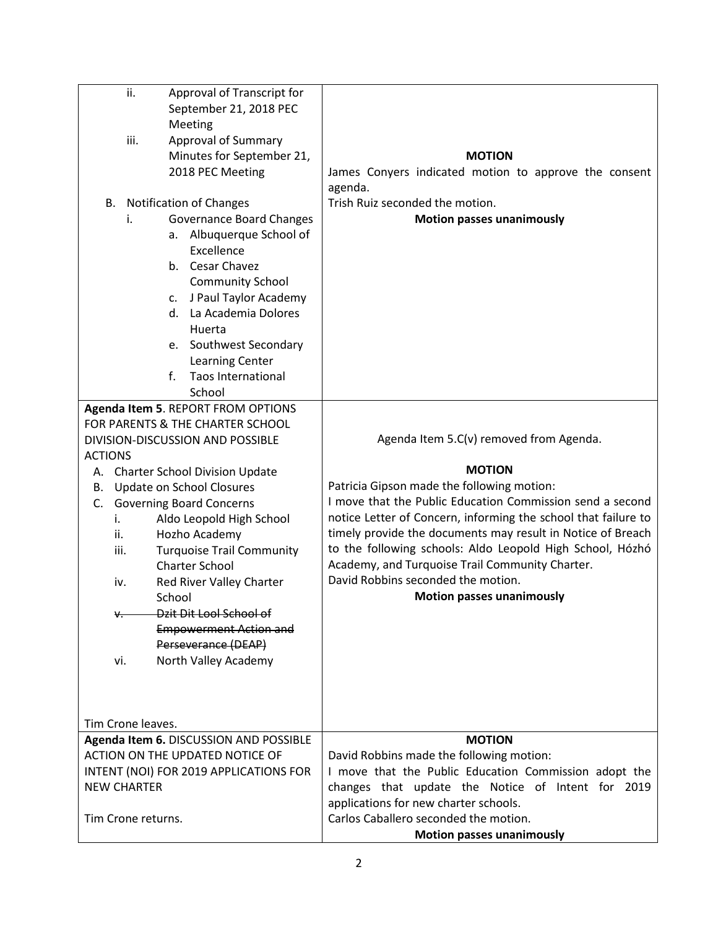| ii.<br>iii.                                       | Approval of Transcript for<br>September 21, 2018 PEC<br>Meeting<br><b>Approval of Summary</b><br>Minutes for September 21,                                                                                                                                                                                                                                   | <b>MOTION</b>                                                                                                                                                                                                                                                                                                                                                                                                                                       |
|---------------------------------------------------|--------------------------------------------------------------------------------------------------------------------------------------------------------------------------------------------------------------------------------------------------------------------------------------------------------------------------------------------------------------|-----------------------------------------------------------------------------------------------------------------------------------------------------------------------------------------------------------------------------------------------------------------------------------------------------------------------------------------------------------------------------------------------------------------------------------------------------|
|                                                   | 2018 PEC Meeting                                                                                                                                                                                                                                                                                                                                             | James Conyers indicated motion to approve the consent<br>agenda.                                                                                                                                                                                                                                                                                                                                                                                    |
| i.                                                | B. Notification of Changes<br><b>Governance Board Changes</b><br>a. Albuquerque School of<br>Excellence<br>b. Cesar Chavez<br><b>Community School</b><br>J Paul Taylor Academy<br>C.<br>d. La Academia Dolores                                                                                                                                               | Trish Ruiz seconded the motion.<br><b>Motion passes unanimously</b>                                                                                                                                                                                                                                                                                                                                                                                 |
|                                                   | Huerta<br>e. Southwest Secondary<br>Learning Center<br>f.<br><b>Taos International</b><br>School                                                                                                                                                                                                                                                             |                                                                                                                                                                                                                                                                                                                                                                                                                                                     |
|                                                   | Agenda Item 5. REPORT FROM OPTIONS<br>FOR PARENTS & THE CHARTER SCHOOL                                                                                                                                                                                                                                                                                       |                                                                                                                                                                                                                                                                                                                                                                                                                                                     |
|                                                   | DIVISION-DISCUSSION AND POSSIBLE                                                                                                                                                                                                                                                                                                                             | Agenda Item 5.C(v) removed from Agenda.                                                                                                                                                                                                                                                                                                                                                                                                             |
| <b>ACTIONS</b>                                    |                                                                                                                                                                                                                                                                                                                                                              |                                                                                                                                                                                                                                                                                                                                                                                                                                                     |
| В.<br>C.<br>i.<br>ii.<br>iii.<br>iv.<br>₩.<br>vi. | A. Charter School Division Update<br>Update on School Closures<br><b>Governing Board Concerns</b><br>Aldo Leopold High School<br>Hozho Academy<br><b>Turquoise Trail Community</b><br><b>Charter School</b><br>Red River Valley Charter<br>School<br>Dzit Dit Lool School of<br><b>Empowerment Action and</b><br>Perseverance (DEAP)<br>North Valley Academy | <b>MOTION</b><br>Patricia Gipson made the following motion:<br>I move that the Public Education Commission send a second<br>notice Letter of Concern, informing the school that failure to<br>timely provide the documents may result in Notice of Breach<br>to the following schools: Aldo Leopold High School, Hózhó<br>Academy, and Turquoise Trail Community Charter.<br>David Robbins seconded the motion.<br><b>Motion passes unanimously</b> |
| Tim Crone leaves.                                 |                                                                                                                                                                                                                                                                                                                                                              |                                                                                                                                                                                                                                                                                                                                                                                                                                                     |
| <b>NEW CHARTER</b><br>Tim Crone returns.          | Agenda Item 6. DISCUSSION AND POSSIBLE<br>ACTION ON THE UPDATED NOTICE OF<br>INTENT (NOI) FOR 2019 APPLICATIONS FOR                                                                                                                                                                                                                                          | <b>MOTION</b><br>David Robbins made the following motion:<br>I move that the Public Education Commission adopt the<br>changes that update the Notice of Intent for 2019<br>applications for new charter schools.<br>Carlos Caballero seconded the motion.                                                                                                                                                                                           |
|                                                   |                                                                                                                                                                                                                                                                                                                                                              | <b>Motion passes unanimously</b>                                                                                                                                                                                                                                                                                                                                                                                                                    |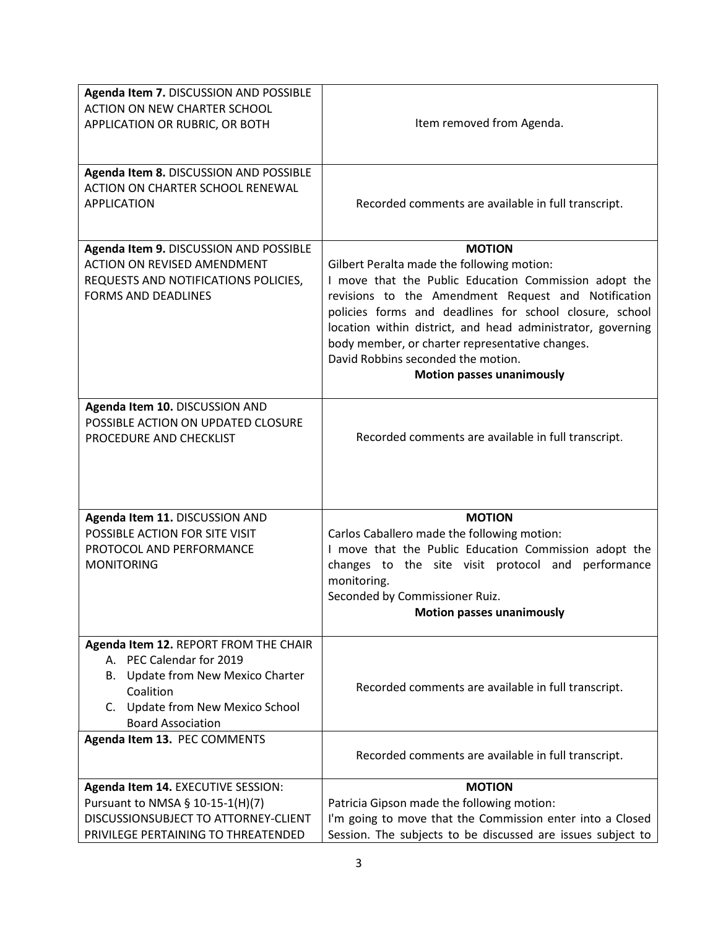| Agenda Item 7. DISCUSSION AND POSSIBLE<br>ACTION ON NEW CHARTER SCHOOL<br>APPLICATION OR RUBRIC, OR BOTH                                                                                      | Item removed from Agenda.                                                                                                                                                                                                                                                                                                                                                                                                          |
|-----------------------------------------------------------------------------------------------------------------------------------------------------------------------------------------------|------------------------------------------------------------------------------------------------------------------------------------------------------------------------------------------------------------------------------------------------------------------------------------------------------------------------------------------------------------------------------------------------------------------------------------|
| Agenda Item 8. DISCUSSION AND POSSIBLE<br>ACTION ON CHARTER SCHOOL RENEWAL<br><b>APPLICATION</b>                                                                                              | Recorded comments are available in full transcript.                                                                                                                                                                                                                                                                                                                                                                                |
| Agenda Item 9. DISCUSSION AND POSSIBLE<br><b>ACTION ON REVISED AMENDMENT</b><br>REQUESTS AND NOTIFICATIONS POLICIES,<br><b>FORMS AND DEADLINES</b>                                            | <b>MOTION</b><br>Gilbert Peralta made the following motion:<br>I move that the Public Education Commission adopt the<br>revisions to the Amendment Request and Notification<br>policies forms and deadlines for school closure, school<br>location within district, and head administrator, governing<br>body member, or charter representative changes.<br>David Robbins seconded the motion.<br><b>Motion passes unanimously</b> |
| Agenda Item 10. DISCUSSION AND<br>POSSIBLE ACTION ON UPDATED CLOSURE<br>PROCEDURE AND CHECKLIST                                                                                               | Recorded comments are available in full transcript.                                                                                                                                                                                                                                                                                                                                                                                |
| Agenda Item 11. DISCUSSION AND<br>POSSIBLE ACTION FOR SITE VISIT<br>PROTOCOL AND PERFORMANCE<br><b>MONITORING</b>                                                                             | <b>MOTION</b><br>Carlos Caballero made the following motion:<br>I move that the Public Education Commission adopt the<br>changes to the site visit protocol and performance<br>monitoring.<br>Seconded by Commissioner Ruiz.<br><b>Motion passes unanimously</b>                                                                                                                                                                   |
| Agenda Item 12. REPORT FROM THE CHAIR<br>A. PEC Calendar for 2019<br><b>Update from New Mexico Charter</b><br>В.<br>Coalition<br>C. Update from New Mexico School<br><b>Board Association</b> | Recorded comments are available in full transcript.                                                                                                                                                                                                                                                                                                                                                                                |
| Agenda Item 13. PEC COMMENTS                                                                                                                                                                  | Recorded comments are available in full transcript.                                                                                                                                                                                                                                                                                                                                                                                |
| Agenda Item 14. EXECUTIVE SESSION:<br>Pursuant to NMSA § 10-15-1(H)(7)<br>DISCUSSIONSUBJECT TO ATTORNEY-CLIENT<br>PRIVILEGE PERTAINING TO THREATENDED                                         | <b>MOTION</b><br>Patricia Gipson made the following motion:<br>I'm going to move that the Commission enter into a Closed<br>Session. The subjects to be discussed are issues subject to                                                                                                                                                                                                                                            |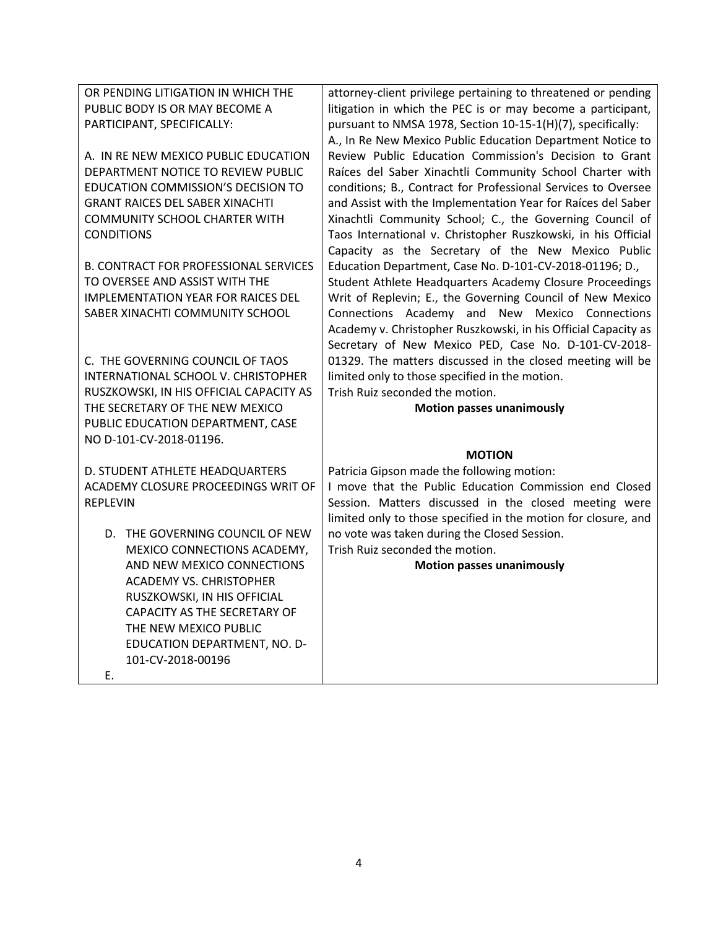| OR PENDING LITIGATION IN WHICH THE                          | attorney-client privilege pertaining to threatened or pending  |
|-------------------------------------------------------------|----------------------------------------------------------------|
| PUBLIC BODY IS OR MAY BECOME A                              | litigation in which the PEC is or may become a participant,    |
| PARTICIPANT, SPECIFICALLY:                                  | pursuant to NMSA 1978, Section 10-15-1(H)(7), specifically:    |
|                                                             | A., In Re New Mexico Public Education Department Notice to     |
| A. IN RE NEW MEXICO PUBLIC EDUCATION                        | Review Public Education Commission's Decision to Grant         |
| DEPARTMENT NOTICE TO REVIEW PUBLIC                          | Raíces del Saber Xinachtli Community School Charter with       |
| EDUCATION COMMISSION'S DECISION TO                          | conditions; B., Contract for Professional Services to Oversee  |
| <b>GRANT RAICES DEL SABER XINACHTI</b>                      | and Assist with the Implementation Year for Raíces del Saber   |
| <b>COMMUNITY SCHOOL CHARTER WITH</b>                        | Xinachtli Community School; C., the Governing Council of       |
| <b>CONDITIONS</b>                                           | Taos International v. Christopher Ruszkowski, in his Official  |
|                                                             | Capacity as the Secretary of the New Mexico Public             |
| <b>B. CONTRACT FOR PROFESSIONAL SERVICES</b>                | Education Department, Case No. D-101-CV-2018-01196; D.,        |
| TO OVERSEE AND ASSIST WITH THE                              | Student Athlete Headquarters Academy Closure Proceedings       |
| <b>IMPLEMENTATION YEAR FOR RAICES DEL</b>                   | Writ of Replevin; E., the Governing Council of New Mexico      |
| SABER XINACHTI COMMUNITY SCHOOL                             | Connections Academy and New Mexico Connections                 |
|                                                             | Academy v. Christopher Ruszkowski, in his Official Capacity as |
|                                                             | Secretary of New Mexico PED, Case No. D-101-CV-2018-           |
| C. THE GOVERNING COUNCIL OF TAOS                            | 01329. The matters discussed in the closed meeting will be     |
| INTERNATIONAL SCHOOL V. CHRISTOPHER                         | limited only to those specified in the motion.                 |
| RUSZKOWSKI, IN HIS OFFICIAL CAPACITY AS                     | Trish Ruiz seconded the motion.                                |
| THE SECRETARY OF THE NEW MEXICO                             | <b>Motion passes unanimously</b>                               |
| PUBLIC EDUCATION DEPARTMENT, CASE                           |                                                                |
| NO D-101-CV-2018-01196.                                     |                                                                |
|                                                             | <b>MOTION</b>                                                  |
| D. STUDENT ATHLETE HEADQUARTERS                             | Patricia Gipson made the following motion:                     |
| ACADEMY CLOSURE PROCEEDINGS WRIT OF                         | I move that the Public Education Commission end Closed         |
| <b>REPLEVIN</b>                                             | Session. Matters discussed in the closed meeting were          |
|                                                             | limited only to those specified in the motion for closure, and |
| D. THE GOVERNING COUNCIL OF NEW                             | no vote was taken during the Closed Session.                   |
| MEXICO CONNECTIONS ACADEMY,                                 | Trish Ruiz seconded the motion.                                |
| AND NEW MEXICO CONNECTIONS                                  | <b>Motion passes unanimously</b>                               |
| <b>ACADEMY VS. CHRISTOPHER</b>                              |                                                                |
| RUSZKOWSKI, IN HIS OFFICIAL<br>CAPACITY AS THE SECRETARY OF |                                                                |
| THE NEW MEXICO PUBLIC                                       |                                                                |
| EDUCATION DEPARTMENT, NO. D-                                |                                                                |
|                                                             |                                                                |
|                                                             |                                                                |
| 101-CV-2018-00196<br>Ε.                                     |                                                                |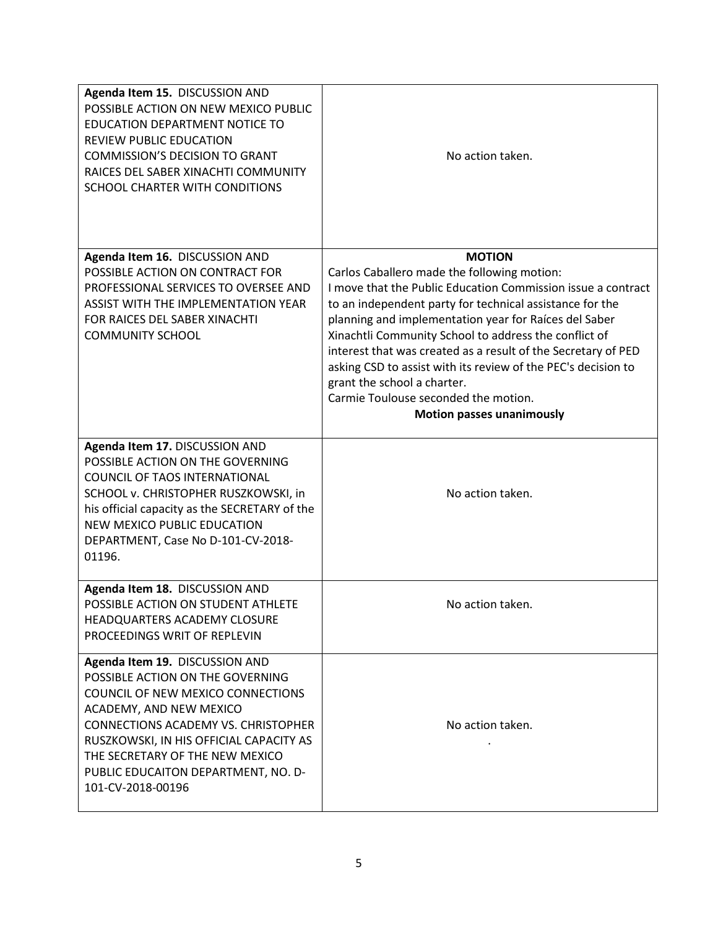| Agenda Item 15. DISCUSSION AND<br>POSSIBLE ACTION ON NEW MEXICO PUBLIC<br><b>EDUCATION DEPARTMENT NOTICE TO</b><br><b>REVIEW PUBLIC EDUCATION</b><br><b>COMMISSION'S DECISION TO GRANT</b><br>RAICES DEL SABER XINACHTI COMMUNITY<br>SCHOOL CHARTER WITH CONDITIONS                                                        | No action taken.                                                                                                                                                                                                                                                                                                                                                                                                                                                                                                                                        |
|----------------------------------------------------------------------------------------------------------------------------------------------------------------------------------------------------------------------------------------------------------------------------------------------------------------------------|---------------------------------------------------------------------------------------------------------------------------------------------------------------------------------------------------------------------------------------------------------------------------------------------------------------------------------------------------------------------------------------------------------------------------------------------------------------------------------------------------------------------------------------------------------|
| Agenda Item 16. DISCUSSION AND<br>POSSIBLE ACTION ON CONTRACT FOR<br>PROFESSIONAL SERVICES TO OVERSEE AND<br><b>ASSIST WITH THE IMPLEMENTATION YEAR</b><br>FOR RAICES DEL SABER XINACHTI<br><b>COMMUNITY SCHOOL</b>                                                                                                        | <b>MOTION</b><br>Carlos Caballero made the following motion:<br>I move that the Public Education Commission issue a contract<br>to an independent party for technical assistance for the<br>planning and implementation year for Raíces del Saber<br>Xinachtli Community School to address the conflict of<br>interest that was created as a result of the Secretary of PED<br>asking CSD to assist with its review of the PEC's decision to<br>grant the school a charter.<br>Carmie Toulouse seconded the motion.<br><b>Motion passes unanimously</b> |
| Agenda Item 17. DISCUSSION AND<br>POSSIBLE ACTION ON THE GOVERNING<br><b>COUNCIL OF TAOS INTERNATIONAL</b><br>SCHOOL v. CHRISTOPHER RUSZKOWSKI, in<br>his official capacity as the SECRETARY of the<br><b>NEW MEXICO PUBLIC EDUCATION</b><br>DEPARTMENT, Case No D-101-CV-2018-<br>01196.                                  | No action taken.                                                                                                                                                                                                                                                                                                                                                                                                                                                                                                                                        |
| Agenda Item 18. DISCUSSION AND<br>POSSIBLE ACTION ON STUDENT ATHLETE<br>HEADQUARTERS ACADEMY CLOSURE<br>PROCEEDINGS WRIT OF REPLEVIN                                                                                                                                                                                       | No action taken.                                                                                                                                                                                                                                                                                                                                                                                                                                                                                                                                        |
| Agenda Item 19. DISCUSSION AND<br>POSSIBLE ACTION ON THE GOVERNING<br>COUNCIL OF NEW MEXICO CONNECTIONS<br>ACADEMY, AND NEW MEXICO<br><b>CONNECTIONS ACADEMY VS. CHRISTOPHER</b><br>RUSZKOWSKI, IN HIS OFFICIAL CAPACITY AS<br>THE SECRETARY OF THE NEW MEXICO<br>PUBLIC EDUCAITON DEPARTMENT, NO. D-<br>101-CV-2018-00196 | No action taken.                                                                                                                                                                                                                                                                                                                                                                                                                                                                                                                                        |